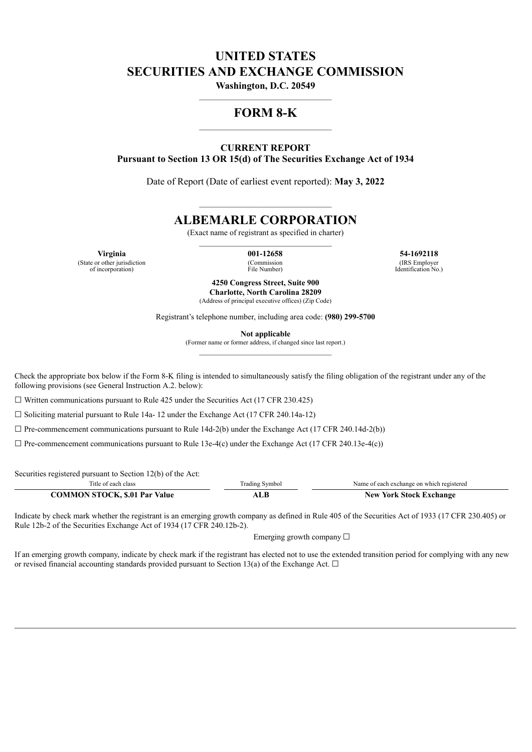# **UNITED STATES SECURITIES AND EXCHANGE COMMISSION**

**Washington, D.C. 20549** \_\_\_\_\_\_\_\_\_\_\_\_\_\_\_\_\_\_\_\_\_\_\_\_\_\_\_\_\_\_\_\_\_

## **FORM 8-K** \_\_\_\_\_\_\_\_\_\_\_\_\_\_\_\_\_\_\_\_\_\_\_\_\_\_\_\_\_\_\_\_\_

**CURRENT REPORT Pursuant to Section 13 OR 15(d) of The Securities Exchange Act of 1934**

Date of Report (Date of earliest event reported): **May 3, 2022**

## **ALBEMARLE CORPORATION**

 $\mathcal{L}_\text{max}$ 

(Exact name of registrant as specified in charter)

(State or other jurisdiction of incorporation)

(Commission File Number)

**Virginia 001-12658 54-1692118** (IRS Employer Identification No.)

> **4250 Congress Street, Suite 900 Charlotte, North Carolina 28209** (Address of principal executive offices) (Zip Code)

Registrant's telephone number, including area code: **(980) 299-5700**

**Not applicable**

(Former name or former address, if changed since last report.)

Check the appropriate box below if the Form 8-K filing is intended to simultaneously satisfy the filing obligation of the registrant under any of the following provisions (see General Instruction A.2. below):

 $\Box$  Written communications pursuant to Rule 425 under the Securities Act (17 CFR 230.425)

 $\Box$  Soliciting material pursuant to Rule 14a- 12 under the Exchange Act (17 CFR 240.14a-12)

 $\Box$  Pre-commencement communications pursuant to Rule 14d-2(b) under the Exchange Act (17 CFR 240.14d-2(b))

 $\Box$  Pre-commencement communications pursuant to Rule 13e-4(c) under the Exchange Act (17 CFR 240.13e-4(c))

Securities registered pursuant to Section 12(b) of the Act:

| l'itle of each class                 | <b>Trading Symbol</b> | Name of each exchange on which registered |
|--------------------------------------|-----------------------|-------------------------------------------|
| <b>COMMON STOCK, \$.01 Par Value</b> | ALB                   | <b>New York Stock Exchange</b>            |

Indicate by check mark whether the registrant is an emerging growth company as defined in Rule 405 of the Securities Act of 1933 (17 CFR 230.405) or Rule 12b-2 of the Securities Exchange Act of 1934 (17 CFR 240.12b-2).

Emerging growth company  $\Box$ 

If an emerging growth company, indicate by check mark if the registrant has elected not to use the extended transition period for complying with any new or revised financial accounting standards provided pursuant to Section 13(a) of the Exchange Act.  $\Box$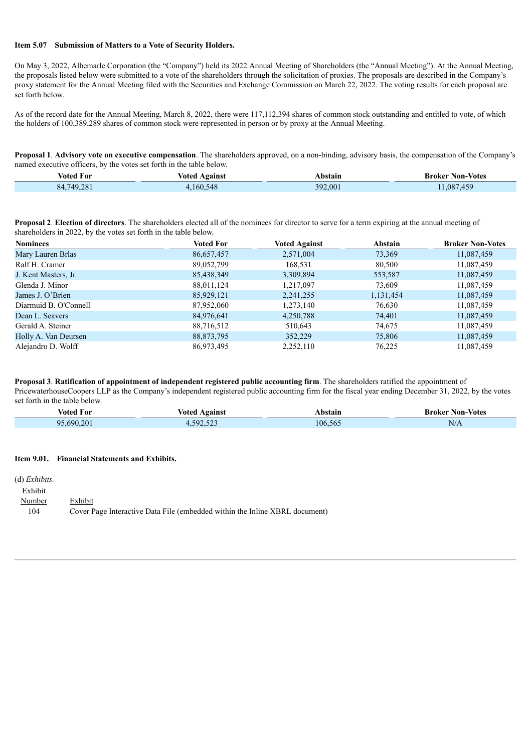#### **Item 5.07 Submission of Matters to a Vote of Security Holders.**

On May 3, 2022, Albemarle Corporation (the "Company") held its 2022 Annual Meeting of Shareholders (the "Annual Meeting"). At the Annual Meeting, the proposals listed below were submitted to a vote of the shareholders through the solicitation of proxies. The proposals are described in the Company's proxy statement for the Annual Meeting filed with the Securities and Exchange Commission on March 22, 2022. The voting results for each proposal are set forth below.

As of the record date for the Annual Meeting, March 8, 2022, there were 117,112,394 shares of common stock outstanding and entitled to vote, of which the holders of 100,389,289 shares of common stock were represented in person or by proxy at the Annual Meeting.

**Proposal 1**. **Advisory vote on executive compensation**. The shareholders approved, on a non-binding, advisory basis, the compensation of the Company's named executive officers, by the votes set forth in the table below.

| Voted For  | Against<br>Voted | Abstain | <b>Non-Votes</b><br>Broker . |
|------------|------------------|---------|------------------------------|
| 84.749.281 | 160.548          | 392.001 | 1.087.459                    |

**Proposal 2**. **Election of directors**. The shareholders elected all of the nominees for director to serve for a term expiring at the annual meeting of shareholders in 2022, by the votes set forth in the table below.

| <b>Nominees</b>       | <b>Voted For</b> | <b>Voted Against</b> | Abstain   | <b>Broker Non-Votes</b> |
|-----------------------|------------------|----------------------|-----------|-------------------------|
| Mary Lauren Brlas     | 86,657,457       | 2,571,004            | 73,369    | 11,087,459              |
| Ralf H. Cramer        | 89,052,799       | 168,531              | 80,500    | 11,087,459              |
| J. Kent Masters, Jr.  | 85,438,349       | 3,309,894            | 553,587   | 11,087,459              |
| Glenda J. Minor       | 88,011,124       | 1,217,097            | 73,609    | 11,087,459              |
| James J. O'Brien      | 85,929,121       | 2,241,255            | 1,131,454 | 11,087,459              |
| Diarmuid B. O'Connell | 87,952,060       | 1,273,140            | 76,630    | 11,087,459              |
| Dean L. Seavers       | 84,976,641       | 4,250,788            | 74,401    | 11,087,459              |
| Gerald A. Steiner     | 88,716,512       | 510,643              | 74,675    | 11,087,459              |
| Holly A. Van Deursen  | 88,873,795       | 352,229              | 75,806    | 11,087,459              |
| Alejandro D. Wolff    | 86,973,495       | 2,252,110            | 76,225    | 11,087,459              |

**Proposal 3**. **Ratification of appointment of independent registered public accounting firm**. The shareholders ratified the appointment of PricewaterhouseCoopers LLP as the Company's independent registered public accounting firm for the fiscal year ending December 31, 2022, by the votes set forth in the table below.

| voted For        | Voted<br>Veainsi                            | bstair. | -Votes<br>Non-<br>Broker |
|------------------|---------------------------------------------|---------|--------------------------|
| 20<br>oς<br>-690 | $-0.0$<br>$-\alpha$<br>7Y.<br>, , , , , , , | 106.56  | N/L                      |

#### **Item 9.01. Financial Statements and Exhibits.**

| $(d)$ <i>Exhibits.</i> |                                                                             |
|------------------------|-----------------------------------------------------------------------------|
| Exhibit                |                                                                             |
| Number                 | Exhibit                                                                     |
| 104                    | Cover Page Interactive Data File (embedded within the Inline XBRL document) |